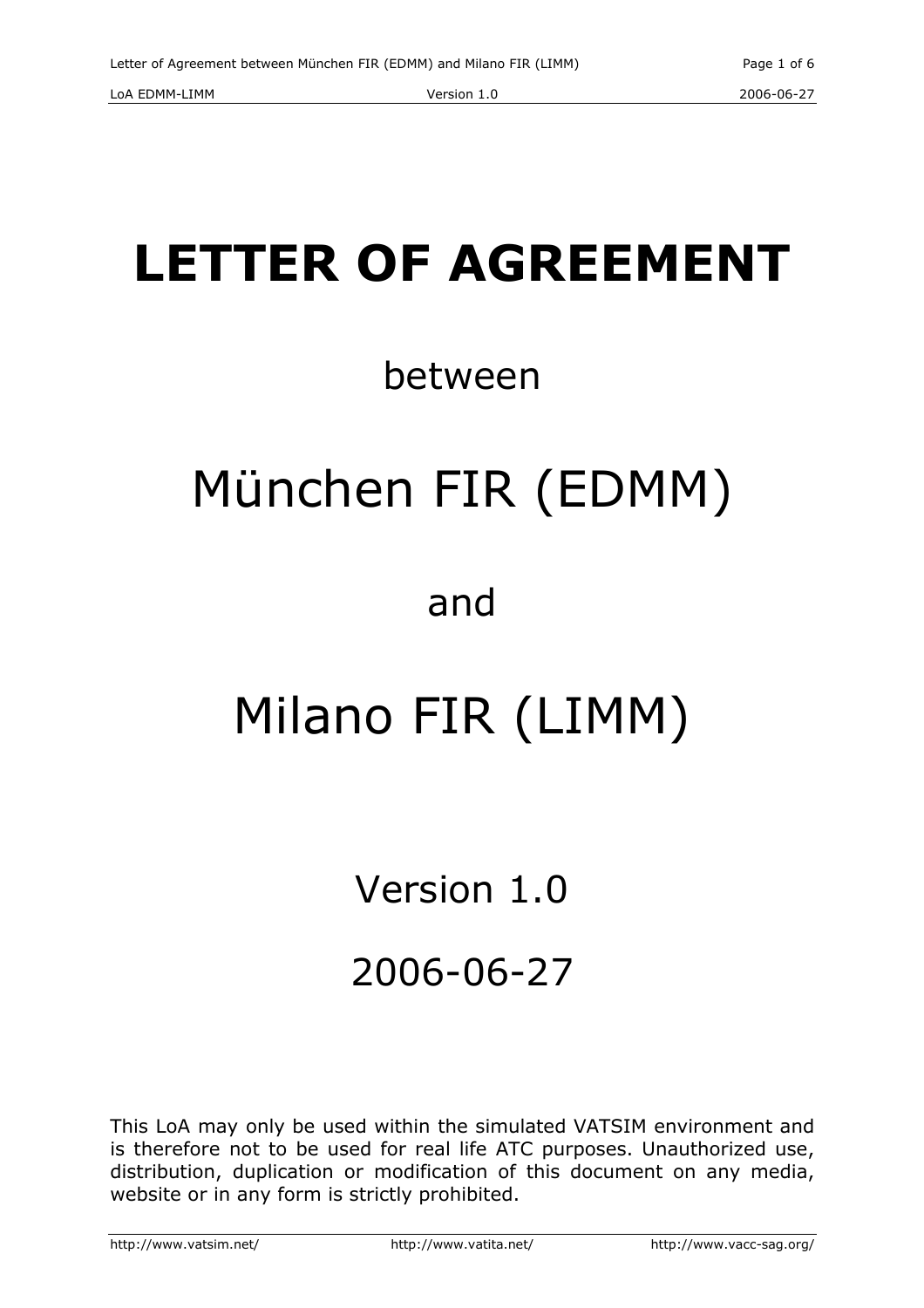# LETTER OF AGREEMENT

# between

# München FIR (EDMM)

# and

# Milano FIR (LIMM)

# Version 1.0

# 2006-06-27

This LoA may only be used within the simulated VATSIM environment and is therefore not to be used for real life ATC purposes. Unauthorized use, distribution, duplication or modification of this document on any media, website or in any form is strictly prohibited.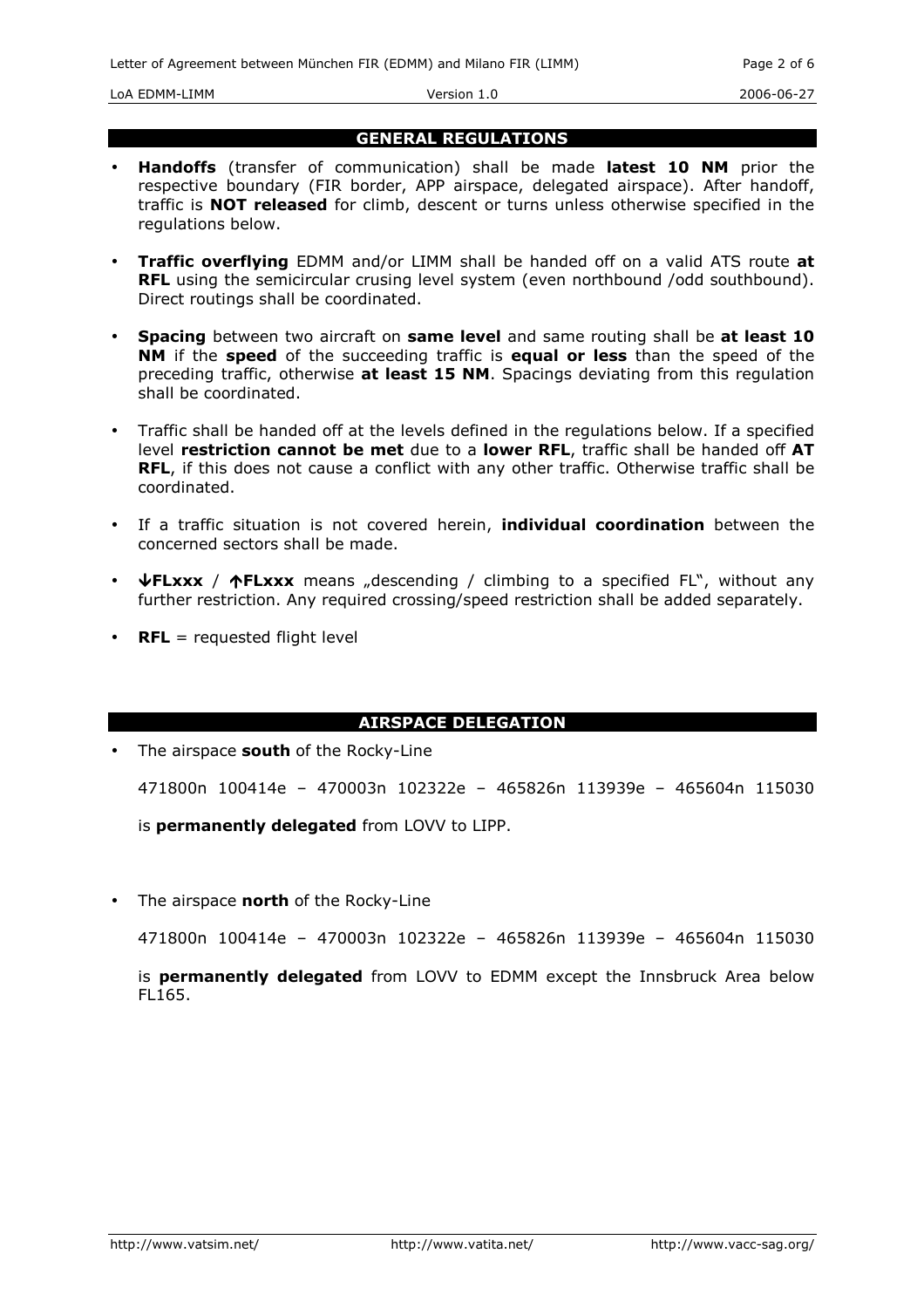LoA EDMM-LIMM Version 1.0 2006-06-27

#### GENERAL REGULATIONS

- Handoffs (transfer of communication) shall be made latest 10 NM prior the respective boundary (FIR border, APP airspace, delegated airspace). After handoff, traffic is NOT released for climb, descent or turns unless otherwise specified in the regulations below.
- **Traffic overflying** EDMM and/or LIMM shall be handed off on a valid ATS route at RFL using the semicircular crusing level system (even northbound /odd southbound). Direct routings shall be coordinated.
- Spacing between two aircraft on same level and same routing shall be at least 10 NM if the speed of the succeeding traffic is equal or less than the speed of the preceding traffic, otherwise at least 15 NM. Spacings deviating from this regulation shall be coordinated.
- Traffic shall be handed off at the levels defined in the regulations below. If a specified level restriction cannot be met due to a lower RFL, traffic shall be handed off AT RFL, if this does not cause a conflict with any other traffic. Otherwise traffic shall be coordinated.
- If a traffic situation is not covered herein, *individual coordination* between the concerned sectors shall be made.
- $\overline{\Psi}$  **FLxxx** /  $\Upsilon$ **FLxxx** means "descending / climbing to a specified FL", without any further restriction. Any required crossing/speed restriction shall be added separately.
- **RFL** = requested flight level

### AIRSPACE DELEGATION

• The airspace south of the Rocky-Line

471800n 100414e – 470003n 102322e – 465826n 113939e – 465604n 115030

is permanently delegated from LOVV to LIPP.

The airspace **north** of the Rocky-Line

471800n 100414e – 470003n 102322e – 465826n 113939e – 465604n 115030

is **permanently delegated** from LOVV to EDMM except the Innsbruck Area below FL165.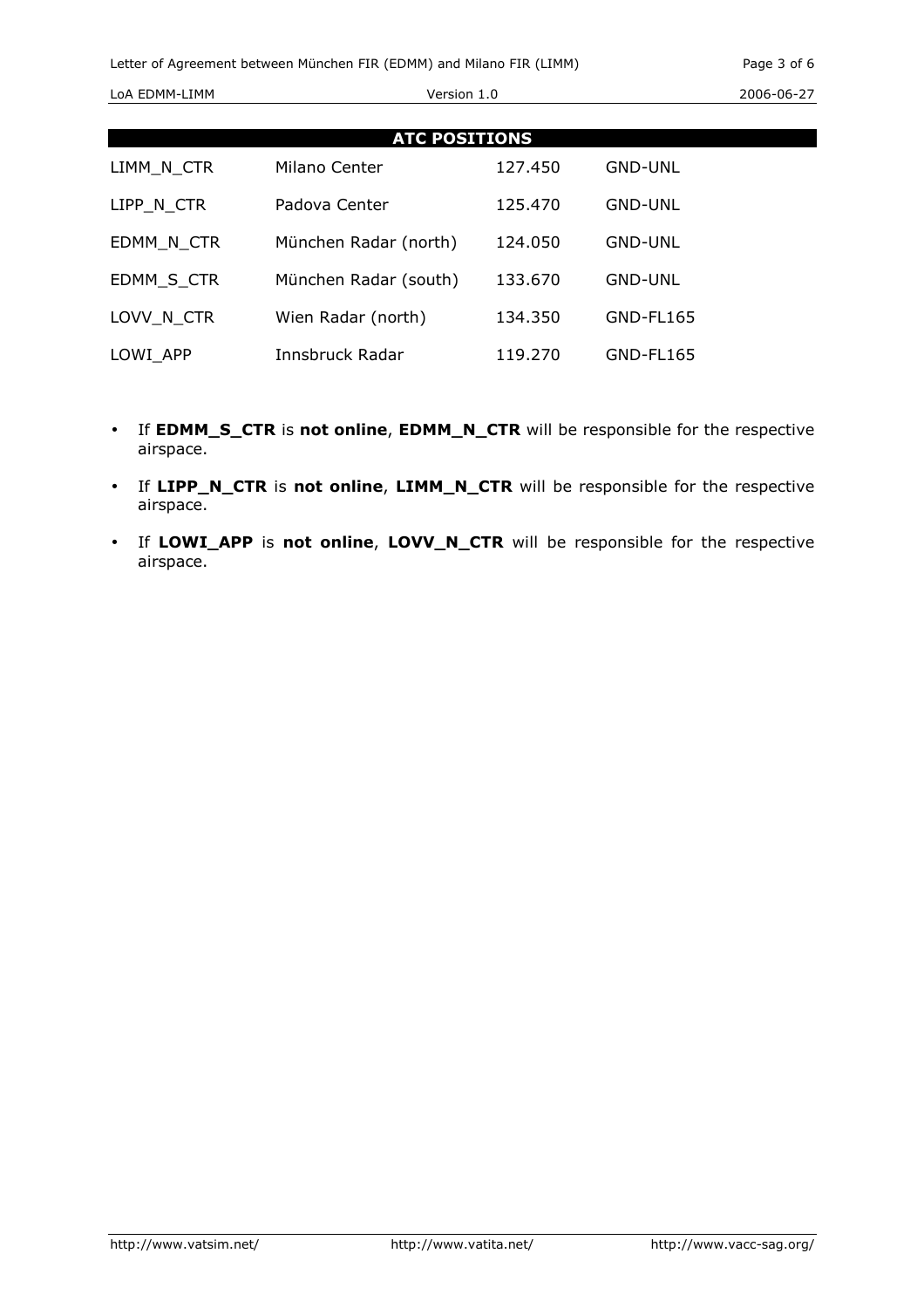| <b>ATC POSITIONS</b> |                       |         |                |
|----------------------|-----------------------|---------|----------------|
| LIMM N CTR           | Milano Center         | 127.450 | <b>GND-UNL</b> |
| LIPP N CTR           | Padova Center         | 125.470 | <b>GND-UNL</b> |
| EDMM N CTR           | München Radar (north) | 124.050 | <b>GND-UNL</b> |
| EDMM S CTR           | München Radar (south) | 133.670 | <b>GND-UNL</b> |
| LOVV N CTR           | Wien Radar (north)    | 134.350 | GND-FL165      |
| LOWI APP             | Innsbruck Radar       | 119.270 | GND-FL165      |

- If EDMM\_S\_CTR is not online, EDMM\_N\_CTR will be responsible for the respective airspace.
- If LIPP\_N\_CTR is not online, LIMM\_N\_CTR will be responsible for the respective airspace.
- If LOWI\_APP is not online, LOVV\_N\_CTR will be responsible for the respective airspace.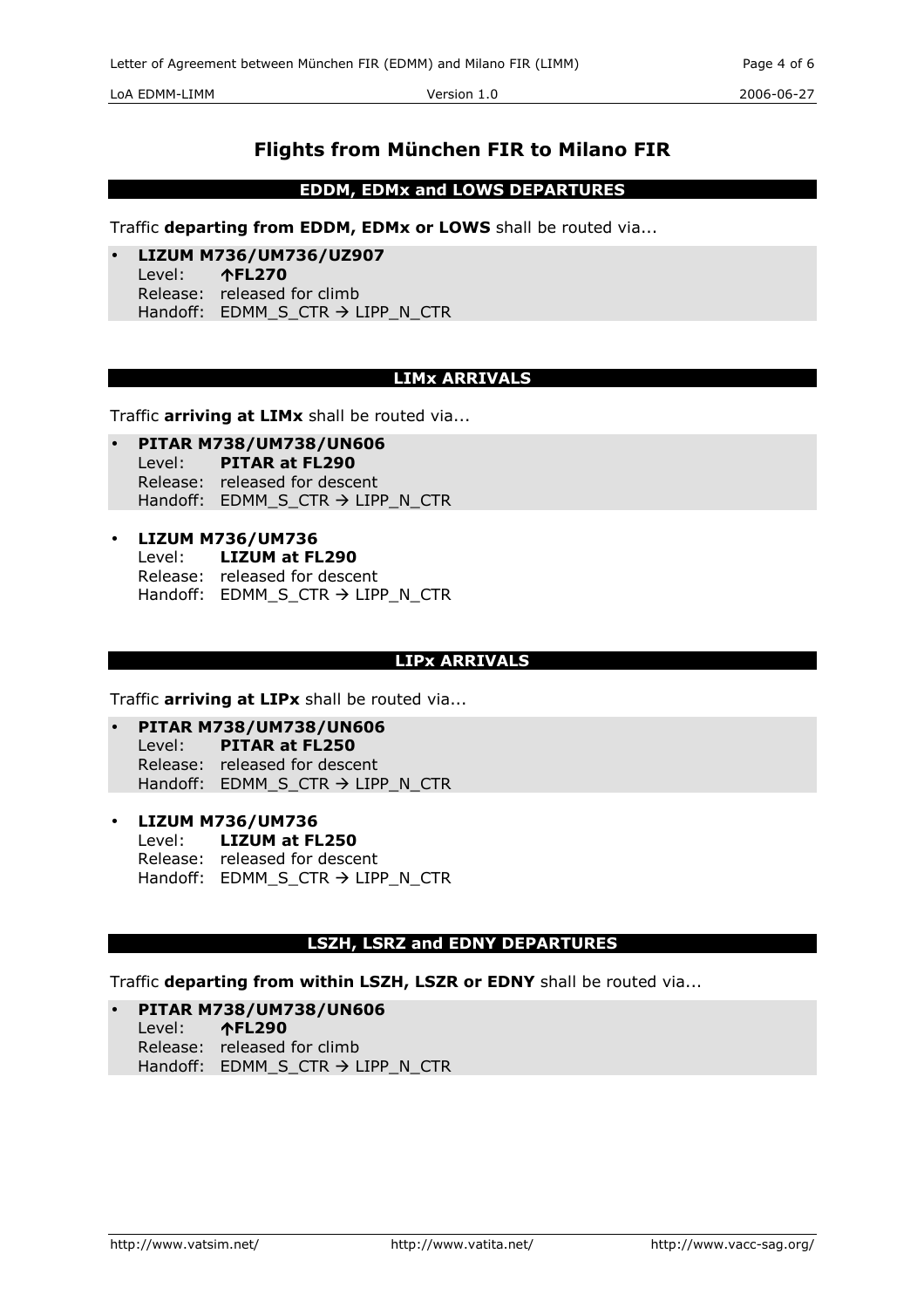LoA EDMM-LIMM Version 1.0 2006-06-27

## Flights from München FIR to Milano FIR

EDDM, EDMx and LOWS DEPARTURES

Traffic departing from EDDM, EDMx or LOWS shall be routed via...

• LIZUM M736/UM736/UZ907 Level: -FL270 Release: released for climb Handoff:  $EDMM_S_CTR \rightarrow LIPP_N_CTR$ 

## LIMx ARRIVALS

Traffic arriving at LIMx shall be routed via...

- PITAR M738/UM738/UN606 Level: PITAR at FL290 Release: released for descent Handoff: EDMM S CTR  $\rightarrow$  LIPP N CTR
- LIZUM M736/UM736 Level: LIZUM at FL290 Release: released for descent Handoff:  $EDMM_S_CTR \rightarrow LIPP_N_CTR$

### LIPx ARRIVALS

Traffic **arriving at LIPx** shall be routed via...

- PITAR M738/UM738/UN606 Level: PITAR at FL250 Release: released for descent Handoff:  $EDMM_S_CTR \rightarrow LIPP_N_CTR$
- LIZUM M736/UM736 Level: LIZUM at FL250 Release: released for descent Handoff: EDMM\_S\_CTR → LIPP\_N\_CTR

#### LSZH, LSRZ and EDNY DEPARTURES

Traffic departing from within LSZH, LSZR or EDNY shall be routed via...

• PITAR M738/UM738/UN606 Level: **个FL290** Release: released for climb Handoff:  $EDMM\_S\_CTR \rightarrow LIPP\_N\_CTR$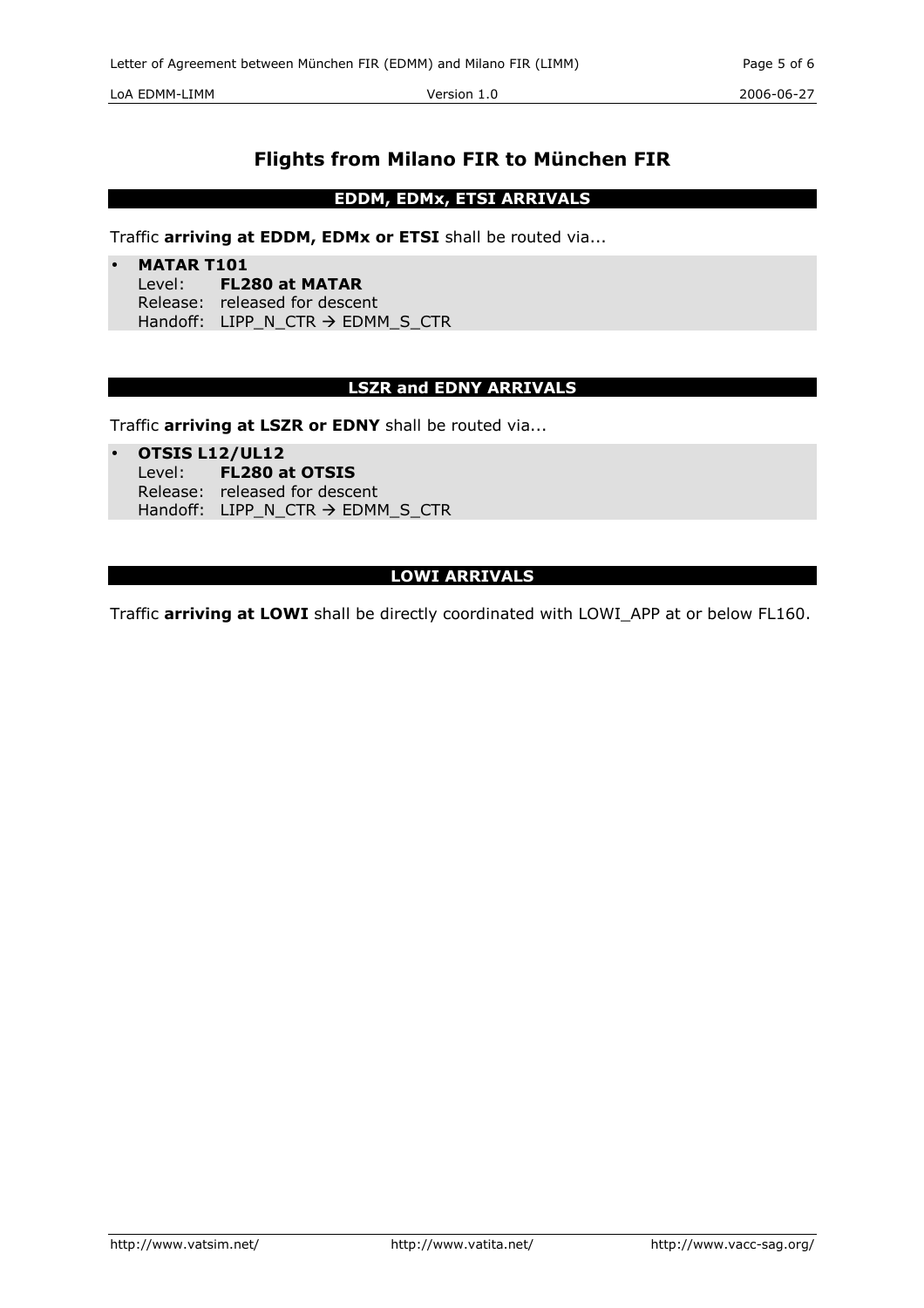LoA EDMM-LIMM Version 1.0 2006-06-27

# Flights from Milano FIR to München FIR

## EDDM, EDMx, ETSI ARRIVALS

Traffic arriving at EDDM, EDMx or ETSI shall be routed via...

• MATAR T101 Level: FL280 at MATAR Release: released for descent Handoff: LIPP\_N\_CTR → EDMM\_S\_CTR

### LSZR and EDNY ARRIVALS

Traffic arriving at LSZR or EDNY shall be routed via...

• OTSIS L12/UL12

- Level: FL280 at OTSIS
	- Release: released for descent
	- Handoff:  $LIPP_N_CTR \rightarrow EDMM_S_CTR$

## LOWI ARRIVALS

Traffic arriving at LOWI shall be directly coordinated with LOWI\_APP at or below FL160.